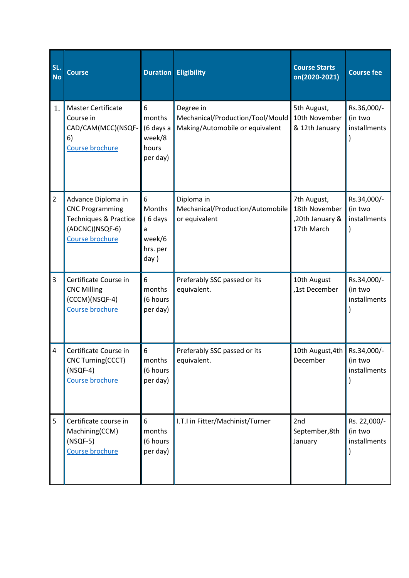| SL.<br><b>No</b> | <b>Course</b>                                                                                                      |                                                           | <b>Duration</b> Eligibility                                                      | <b>Course Starts</b><br>on(2020-2021)                         | <b>Course fee</b>                       |
|------------------|--------------------------------------------------------------------------------------------------------------------|-----------------------------------------------------------|----------------------------------------------------------------------------------|---------------------------------------------------------------|-----------------------------------------|
| 1.               | <b>Master Certificate</b><br>Course in<br>CAD/CAM(MCC)(NSQF-<br>6)<br>Course brochure                              | 6<br>months<br>(6 days a<br>week/8<br>hours<br>per day)   | Degree in<br>Mechanical/Production/Tool/Mould<br>Making/Automobile or equivalent | 5th August,<br>10th November<br>& 12th January                | Rs.36,000/-<br>(in two<br>installments  |
| $\overline{2}$   | Advance Diploma in<br><b>CNC Programming</b><br>Techniques & Practice<br>(ADCNC)(NSQF-6)<br><b>Course brochure</b> | 6<br>Months<br>(6 days<br>a<br>week/6<br>hrs. per<br>day) | Diploma in<br>Mechanical/Production/Automobile<br>or equivalent                  | 7th August,<br>18th November<br>,20th January &<br>17th March | Rs.34,000/-<br>(in two<br>installments  |
| 3                | Certificate Course in<br><b>CNC Milling</b><br>(CCCM)(NSQF-4)<br>Course brochure                                   | 6<br>months<br>(6 hours<br>per day)                       | Preferably SSC passed or its<br>equivalent.                                      | 10th August<br>,1st December                                  | Rs.34,000/-<br>(in two<br>installments  |
| 4                | Certificate Course in<br>CNC Turning(CCCT)<br>$(NSQF-4)$<br>Course brochure                                        | 6<br>months<br>(6 hours<br>per day)                       | Preferably SSC passed or its<br>equivalent.                                      | 10th August, 4th<br>December                                  | Rs.34,000/-<br>(in two<br>installments  |
| 5                | Certificate course in<br>Machining(CCM)<br>$(NSQF-5)$<br>Course brochure                                           | 6<br>months<br>(6 hours<br>per day)                       | I.T.I in Fitter/Machinist/Turner                                                 | 2nd<br>September, 8th<br>January                              | Rs. 22,000/-<br>(in two<br>installments |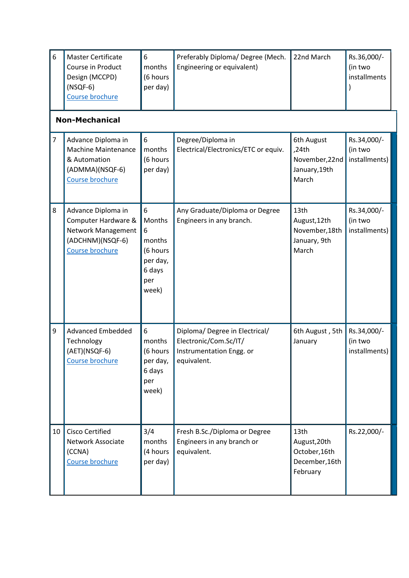| 6  | <b>Master Certificate</b><br>Course in Product<br>Design (MCCPD)<br>$(NSQF-6)$<br>Course brochure             | 6<br>months<br>(6 hours<br>per day)                                          | Preferably Diploma/ Degree (Mech.<br>Engineering or equivalent)                                    | 22nd March                                                                      | Rs.36,000/-<br>(in two<br>installments  |
|----|---------------------------------------------------------------------------------------------------------------|------------------------------------------------------------------------------|----------------------------------------------------------------------------------------------------|---------------------------------------------------------------------------------|-----------------------------------------|
|    | <b>Non-Mechanical</b>                                                                                         |                                                                              |                                                                                                    |                                                                                 |                                         |
| 7  | Advance Diploma in<br><b>Machine Maintenance</b><br>& Automation<br>(ADMMA)(NSQF-6)<br>Course brochure        | 6<br>months<br>(6 hours<br>per day)                                          | Degree/Diploma in<br>Electrical/Electronics/ETC or equiv.                                          | 6th August<br>,24th<br>November, 22nd<br>January, 19th<br>March                 | Rs.34,000/-<br>(in two<br>installments) |
| 8  | Advance Diploma in<br>Computer Hardware &<br>Network Management<br>(ADCHNM)(NSQF-6)<br><b>Course brochure</b> | 6<br>Months<br>6<br>months<br>(6 hours<br>per day,<br>6 days<br>per<br>week) | Any Graduate/Diploma or Degree<br>Engineers in any branch.                                         | 13th<br>August, 12th<br>November, 18th<br>January, 9th<br>March                 | Rs.34,000/-<br>(in two<br>installments) |
| 9  | <b>Advanced Embedded</b><br>Technology<br>(AET)(NSQF-6)<br><b>Course brochure</b>                             | 6<br>months<br>(6 hours<br>per day,<br>6 days<br>per<br>week)                | Diploma/ Degree in Electrical/<br>Electronic/Com.Sc/IT/<br>Instrumentation Engg. or<br>equivalent. | 6th August, 5th<br>January                                                      | Rs.34,000/-<br>(in two<br>installments) |
| 10 | <b>Cisco Certified</b><br><b>Network Associate</b><br>(CCNA)<br>Course brochure                               | 3/4<br>months<br>(4 hours<br>per day)                                        | Fresh B.Sc./Diploma or Degree<br>Engineers in any branch or<br>equivalent.                         | 13 <sub>th</sub><br>August, 20th<br>October, 16th<br>December, 16th<br>February | Rs.22,000/-                             |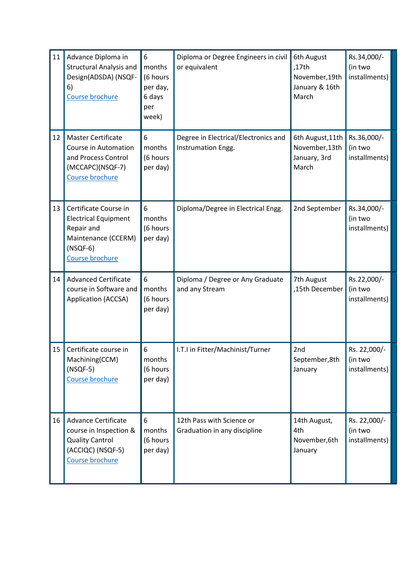| 11 | Advance Diploma in<br><b>Structural Analysis and</b><br>Design(ADSDA) (NSQF-<br>6)<br>Course brochure                      | 6<br>months<br>(6 hours<br>per day,<br>6 days<br>per<br>week) | Diploma or Degree Engineers in civil<br>or equivalent      | 6th August<br>,17th<br>November, 19th<br>January & 16th<br>March | Rs.34,000/-<br>(in two<br>installments)  |
|----|----------------------------------------------------------------------------------------------------------------------------|---------------------------------------------------------------|------------------------------------------------------------|------------------------------------------------------------------|------------------------------------------|
| 12 | <b>Master Certificate</b><br>Course in Automation<br>and Process Control<br>(MCCAPC)(NSQF-7)<br>Course brochure            | 6<br>months<br>(6 hours<br>per day)                           | Degree in Electrical/Electronics and<br>Instrumation Engg. | 6th August, 11th<br>November, 13th<br>January, 3rd<br>March      | Rs.36,000/-<br>(in two<br>installments)  |
| 13 | Certificate Course in<br><b>Electrical Equipment</b><br>Repair and<br>Maintenance (CCERM)<br>$(NSQF-6)$<br>Course brochure | 6<br>months<br>(6 hours<br>per day)                           | Diploma/Degree in Electrical Engg.                         | 2nd September                                                    | Rs.34,000/-<br>(in two<br>installments)  |
| 14 | <b>Advanced Certificate</b><br>course in Software and<br>Application (ACCSA)                                               | 6<br>months<br>(6 hours<br>per day)                           | Diploma / Degree or Any Graduate<br>and any Stream         | 7th August<br>,15th December                                     | Rs.22,000/-<br>(in two<br>installments)  |
| 15 | Certificate course in<br>Machining(CCM)<br>$(NSQF-5)$<br>Course brochure                                                   | 6<br>months<br>(6 hours<br>per day)                           | I.T.I in Fitter/Machinist/Turner                           | 2nd<br>September,8th<br>January                                  | Rs. 22,000/-<br>(in two<br>installments) |
| 16 | <b>Advance Certificate</b><br>course in Inspection &<br><b>Quality Cantrol</b><br>(ACCIQC) (NSQF-5)<br>Course brochure     | 6<br>months<br>(6 hours<br>per day)                           | 12th Pass with Science or<br>Graduation in any discipline  | 14th August,<br>4th<br>November, 6th<br>January                  | Rs. 22,000/-<br>(in two<br>installments) |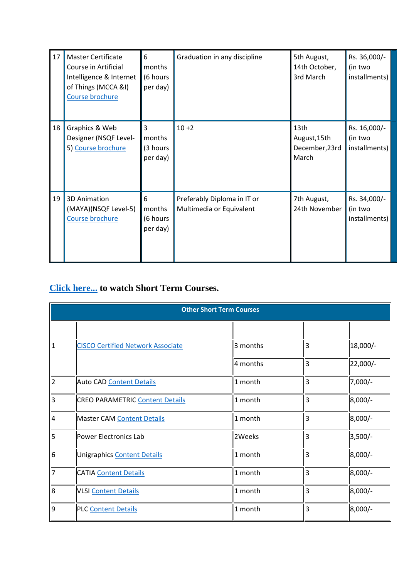| 17 | <b>Master Certificate</b><br>Course in Artificial<br>Intelligence & Internet<br>of Things (MCCA &I)<br>Course brochure | 6<br>months<br>(6 hours<br>per day) | Graduation in any discipline                            | 5th August,<br>14th October,<br>3rd March       | Rs. 36,000/-<br>(in two<br>installments) |
|----|------------------------------------------------------------------------------------------------------------------------|-------------------------------------|---------------------------------------------------------|-------------------------------------------------|------------------------------------------|
| 18 | Graphics & Web<br>Designer (NSQF Level-<br>5) Course brochure                                                          | 3<br>months<br>(3 hours<br>per day) | $10 + 2$                                                | 13th<br>August, 15th<br>December, 23rd<br>March | Rs. 16,000/-<br>(in two<br>installments) |
| 19 | 3D Animation<br>(MAYA)(NSQF Level-5)<br>Course brochure                                                                | 6<br>months<br>(6 hours<br>per day) | Preferably Diploma in IT or<br>Multimedia or Equivalent | 7th August,<br>24th November                    | Rs. 34,000/-<br>(in two<br>installments) |

## **[Click here...](https://www.cttc.gov.in/report/short.pdf) to watch Short Term Courses.**

|                | <b>Other Short Term Courses</b>          |          |    |            |  |  |
|----------------|------------------------------------------|----------|----|------------|--|--|
|                |                                          |          |    |            |  |  |
| I1             | <b>CISCO Certified Network Associate</b> | 3 months | 3  | 18,000/-   |  |  |
|                |                                          | 4 months | 3  | $22,000/-$ |  |  |
| $\mathsf{I}_2$ | <b>Auto CAD Content Details</b>          | 1 month  | 3  | $7,000/-$  |  |  |
| lз             | <b>CREO PARAMETRIC Content Details</b>   | 1 month  | 3  | 8,000/-    |  |  |
| $\overline{4}$ | Master CAM Content Details               | 1 month  | 3  | 8,000/-    |  |  |
| l5             | Power Electronics Lab                    | 2Weeks   | З  | $3,500/-$  |  |  |
| $\overline{6}$ | Unigraphics Content Details              | 1 month  | lз | 8,000/-    |  |  |
| 17             | <b>CATIA</b> Content Details             | 1 month  | 3  | 8,000/-    |  |  |
| $\mathsf{B}$   | <b>VLSI Content Details</b>              | 1 month  | 3  | 8,000/-    |  |  |
| l9             | <b>PLC Content Details</b>               | 1 month  | 3  | 8,000/-    |  |  |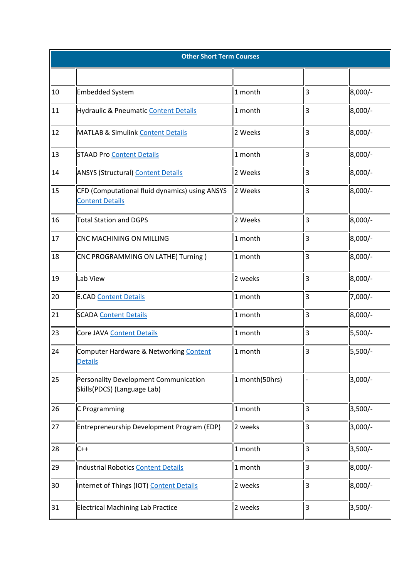|    | <b>Other Short Term Courses</b>                                             |                |    |           |
|----|-----------------------------------------------------------------------------|----------------|----|-----------|
|    |                                                                             |                |    |           |
| 10 | <b>Embedded System</b>                                                      | 1 month        | lз | $8,000/-$ |
| 11 | Hydraulic & Pneumatic Content Details                                       | 1 month        | lз | 8,000/-   |
| 12 | <b>MATLAB &amp; Simulink Content Details</b>                                | 2 Weeks        | lз | 8,000/-   |
| 13 | <b>STAAD Pro Content Details</b>                                            | 1 month        | lз | 8,000/-   |
| 14 | <b>ANSYS (Structural) Content Details</b>                                   | 2 Weeks        | lз | $8,000/-$ |
| 15 | CFD (Computational fluid dynamics) using ANSYS<br><b>Content Details</b>    | 2 Weeks        | lз | $8,000/-$ |
| 16 | <b>Total Station and DGPS</b>                                               | 2 Weeks        | lз | $8,000/-$ |
| 17 | CNC MACHINING ON MILLING                                                    | 1 month        | 3  | $8,000/-$ |
| 18 | CNC PROGRAMMING ON LATHE(Turning)                                           | 1 month        | lз | $8,000/-$ |
| 19 | Lab View                                                                    | 2 weeks        | lз | 8,000/-   |
| 20 | <b>E.CAD Content Details</b>                                                | 1 month        | 3  | $7,000/-$ |
| 21 | <b>SCADA Content Details</b>                                                | 1 month        | lз | 8,000/-   |
| 23 | Core JAVA Content Details                                                   | 1 month        | lз | $5,500/-$ |
| 24 | Computer Hardware & Networking Content<br><b>Details</b>                    | 1 month        | 3  | 5,500/-   |
| 25 | <b>Personality Development Communication</b><br>Skills(PDCS) (Language Lab) | 1 month(50hrs) |    | $3,000/-$ |
| 26 | C Programming                                                               | 1 month        | lз | $3,500/-$ |
| 27 | Entrepreneurship Development Program (EDP)                                  | 2 weeks        | lз | $3,000/-$ |
| 28 | $C++$                                                                       | 1 month        | 3  | $3,500/-$ |
| 29 | <b>Industrial Robotics Content Details</b>                                  | 1 month        | 3  | $8,000/-$ |
| 30 | Internet of Things (IOT) Content Details                                    | 2 weeks        | lз | $8,000/-$ |
| 31 | <b>Electrical Machining Lab Practice</b>                                    | 2 weeks        | lЗ | 3,500/-   |